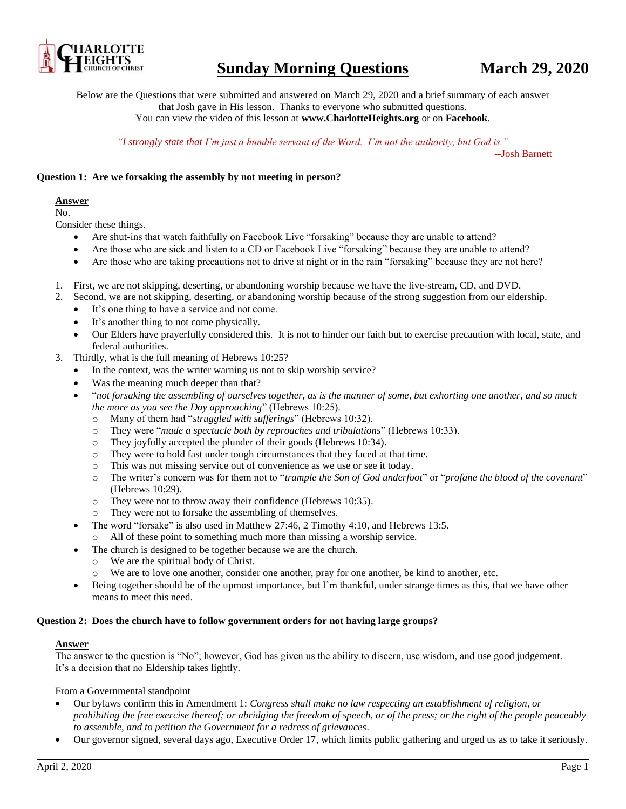

# **Sunday Morning Questions March 29, 2020**

Below are the Questions that were submitted and answered on March 29, 2020 and a brief summary of each answer that Josh gave in His lesson. Thanks to everyone who submitted questions.

You can view the video of this lesson at **www.CharlotteHeights.org** or on **Facebook**.

*"I strongly state that I'm just a humble servant of the Word. I'm not the authority, but God is."*

--Josh Barnett

### **Question 1: Are we forsaking the assembly by not meeting in person?**

### **Answer**

No.

Consider these things.

- Are shut-ins that watch faithfully on Facebook Live "forsaking" because they are unable to attend?
- Are those who are sick and listen to a CD or Facebook Live "forsaking" because they are unable to attend?
- Are those who are taking precautions not to drive at night or in the rain "forsaking" because they are not here?
- 1. First, we are not skipping, deserting, or abandoning worship because we have the live-stream, CD, and DVD.
- 2. Second, we are not skipping, deserting, or abandoning worship because of the strong suggestion from our eldership.
	- It's one thing to have a service and not come.
	- It's another thing to not come physically.
	- Our Elders have prayerfully considered this. It is not to hinder our faith but to exercise precaution with local, state, and federal authorities.
- 3. Thirdly, what is the full meaning of Hebrews 10:25?
	- In the context, was the writer warning us not to skip worship service?
	- Was the meaning much deeper than that?
	- "*not forsaking the assembling of ourselves together, as is the manner of some, but exhorting one another, and so much the more as you see the Day approaching*" (Hebrews 10:25).
		- o Many of them had "*struggled with sufferings*" (Hebrews 10:32).
		- o They were "*made a spectacle both by reproaches and tribulations*" (Hebrews 10:33).
		- o They joyfully accepted the plunder of their goods (Hebrews 10:34).
		- o They were to hold fast under tough circumstances that they faced at that time.
		- o This was not missing service out of convenience as we use or see it today.
		- o The writer's concern was for them not to "*trample the Son of God underfoot*" or "*profane the blood of the covenant*" (Hebrews 10:29).
		- o They were not to throw away their confidence (Hebrews 10:35).
		- o They were not to forsake the assembling of themselves.
	- The word "forsake" is also used in Matthew 27:46, 2 Timothy 4:10, and Hebrews 13:5.
	- o All of these point to something much more than missing a worship service.
	- The church is designed to be together because we are the church.
		- o We are the spiritual body of Christ.
		- o We are to love one another, consider one another, pray for one another, be kind to another, etc.
	- Being together should be of the upmost importance, but I'm thankful, under strange times as this, that we have other means to meet this need.

### **Question 2: Does the church have to follow government orders for not having large groups?**

## **Answer**

The answer to the question is "No"; however, God has given us the ability to discern, use wisdom, and use good judgement. It's a decision that no Eldership takes lightly.

# From a Governmental standpoint

- Our bylaws confirm this in Amendment 1: *Congress shall make no law respecting an establishment of religion, or prohibiting the free exercise thereof; or abridging the freedom of speech, or of the press; or the right of the people peaceably to assemble, and to petition the Government for a redress of grievances*.
- Our governor signed, several days ago, Executive Order 17, which limits public gathering and urged us as to take it seriously.